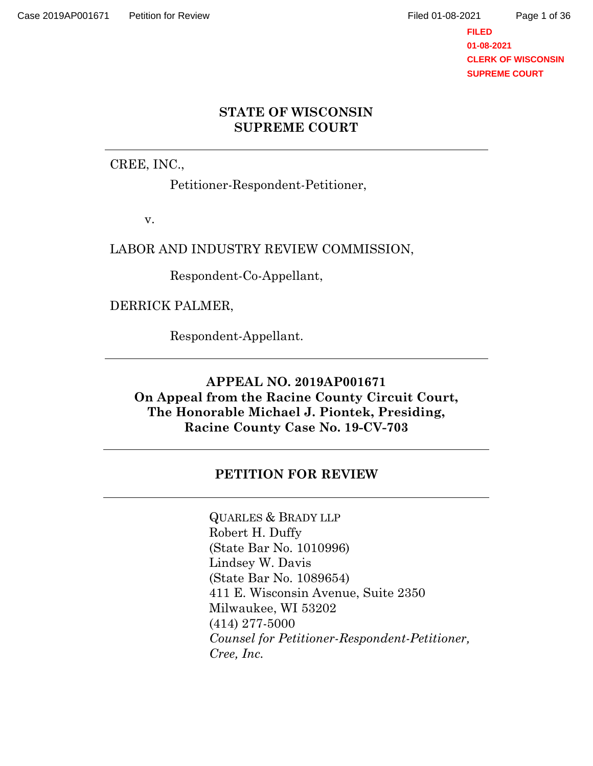Page 1 of 36

## **STATE OF WISCONSIN SUPREME COURT**

CREE, INC.,

Petitioner-Respondent-Petitioner,

v.

LABOR AND INDUSTRY REVIEW COMMISSION,

Respondent-Co-Appellant,

DERRICK PALMER,

Respondent-Appellant.

**APPEAL NO. 2019AP001671 On Appeal from the Racine County Circuit Court, The Honorable Michael J. Piontek, Presiding, Racine County Case No. 19-CV-703**

# **PETITION FOR REVIEW**

QUARLES & BRADY LLP Robert H. Duffy (State Bar No. 1010996) Lindsey W. Davis (State Bar No. 1089654) 411 E. Wisconsin Avenue, Suite 2350 Milwaukee, WI 53202 (414) 277-5000 *Counsel for Petitioner-Respondent-Petitioner, Cree, Inc.*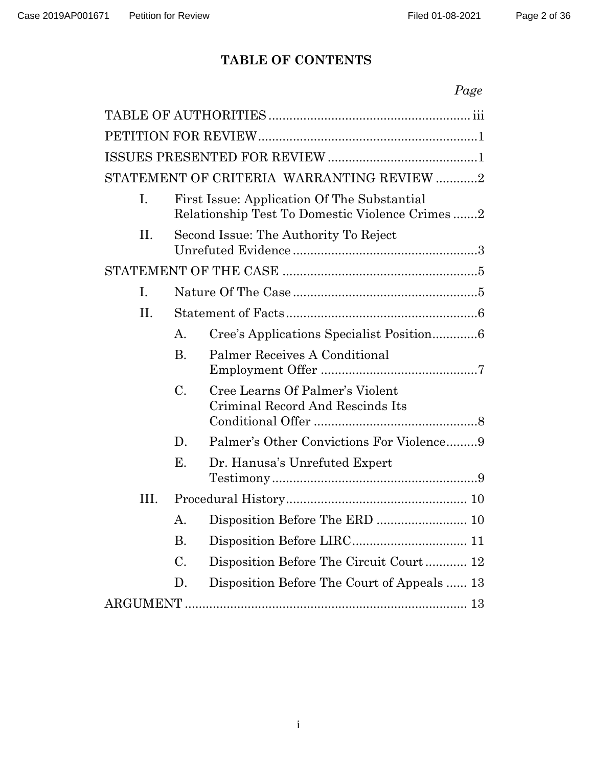# **TABLE OF CONTENTS**

|    |                                                                                               |                                                                     | Page |
|----|-----------------------------------------------------------------------------------------------|---------------------------------------------------------------------|------|
|    |                                                                                               |                                                                     |      |
|    |                                                                                               |                                                                     |      |
|    |                                                                                               |                                                                     |      |
|    |                                                                                               | STATEMENT OF CRITERIA WARRANTING REVIEW 2                           |      |
| Ι. | First Issue: Application Of The Substantial<br>Relationship Test To Domestic Violence Crimes2 |                                                                     |      |
| Π. | Second Issue: The Authority To Reject                                                         |                                                                     |      |
|    |                                                                                               |                                                                     |      |
| Ι. |                                                                                               |                                                                     |      |
| H. |                                                                                               |                                                                     |      |
|    | Α.                                                                                            | Cree's Applications Specialist Position6                            |      |
|    | Β.                                                                                            | <b>Palmer Receives A Conditional</b>                                |      |
|    | C.                                                                                            | Cree Learns Of Palmer's Violent<br>Criminal Record And Rescinds Its |      |
|    | D.                                                                                            | Palmer's Other Convictions For Violence9                            |      |
|    | Е.                                                                                            | Dr. Hanusa's Unrefuted Expert                                       |      |
| Ш. |                                                                                               |                                                                     |      |
|    | А.                                                                                            | Disposition Before The ERD  10                                      |      |
|    | <b>B.</b>                                                                                     |                                                                     |      |
|    | C.                                                                                            | Disposition Before The Circuit Court 12                             |      |
|    | D.                                                                                            | Disposition Before The Court of Appeals  13                         |      |
|    |                                                                                               |                                                                     |      |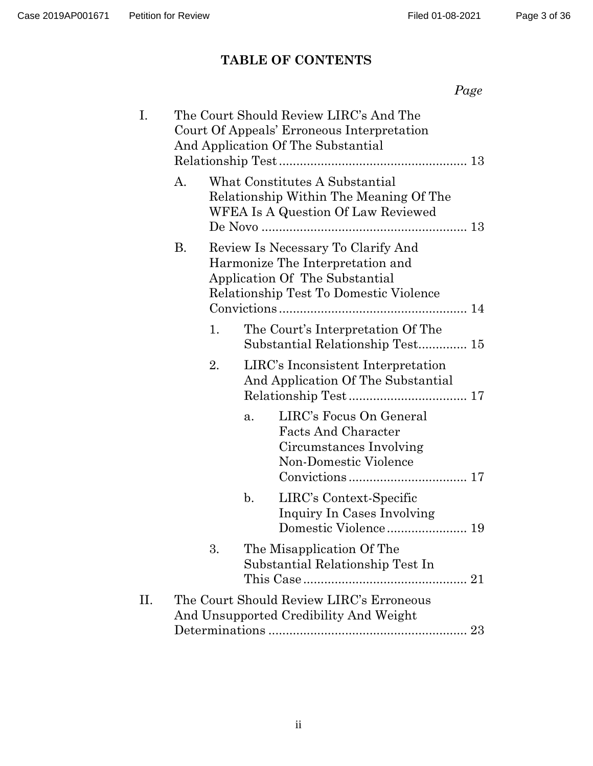*Page*

Page 3 of 36

# **TABLE OF CONTENTS**

|    | The Court Should Review LIRC's And The<br>Court Of Appeals' Erroneous Interpretation<br>And Application Of The Substantial                         |
|----|----------------------------------------------------------------------------------------------------------------------------------------------------|
| A. | What Constitutes A Substantial<br>Relationship Within The Meaning Of The<br>WFEA Is A Question Of Law Reviewed                                     |
| В. | Review Is Necessary To Clarify And<br>Harmonize The Interpretation and<br>Application Of The Substantial<br>Relationship Test To Domestic Violence |
|    | 1.<br>The Court's Interpretation Of The<br>Substantial Relationship Test 15                                                                        |
|    | 2.<br>LIRC's Inconsistent Interpretation<br>And Application Of The Substantial                                                                     |
|    | LIRC's Focus On General<br>a.<br><b>Facts And Character</b><br>Circumstances Involving<br>Non-Domestic Violence                                    |
|    | $\mathbf{b}$ .<br>LIRC's Context-Specific<br>Inquiry In Cases Involving<br>Domestic Violence 19                                                    |
|    | 3.<br>The Misapplication Of The<br>Substantial Relationship Test In                                                                                |
|    | The Court Should Review LIRC's Erroneous<br>And Unsupported Credibility And Weight                                                                 |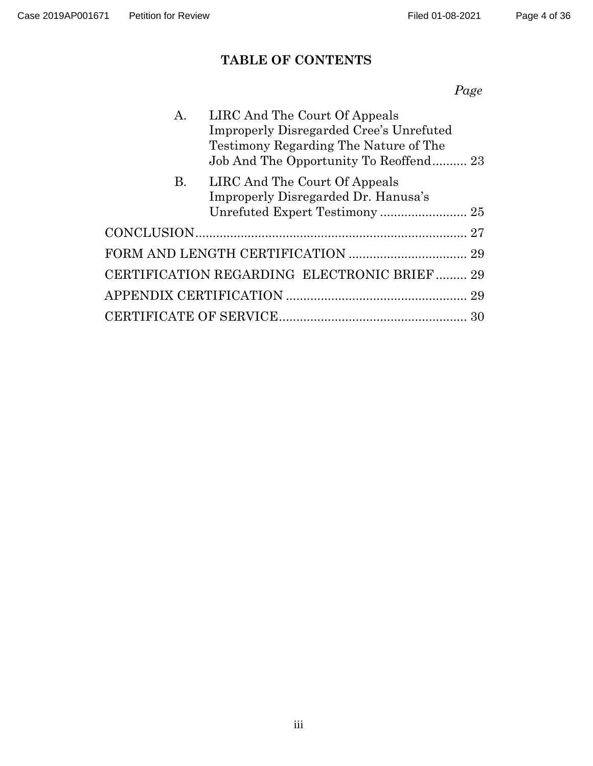# **TABLE OF CONTENTS**

*Page*

| A.                                          | LIRC And The Court Of Appeals           |  |  |  |  |
|---------------------------------------------|-----------------------------------------|--|--|--|--|
|                                             | Improperly Disregarded Cree's Unrefuted |  |  |  |  |
|                                             | Testimony Regarding The Nature of The   |  |  |  |  |
|                                             | Job And The Opportunity To Reoffend 23  |  |  |  |  |
| B.                                          | LIRC And The Court Of Appeals           |  |  |  |  |
|                                             | Improperly Disregarded Dr. Hanusa's     |  |  |  |  |
|                                             |                                         |  |  |  |  |
|                                             |                                         |  |  |  |  |
|                                             |                                         |  |  |  |  |
| CERTIFICATION REGARDING ELECTRONIC BRIEF 29 |                                         |  |  |  |  |
|                                             |                                         |  |  |  |  |
|                                             |                                         |  |  |  |  |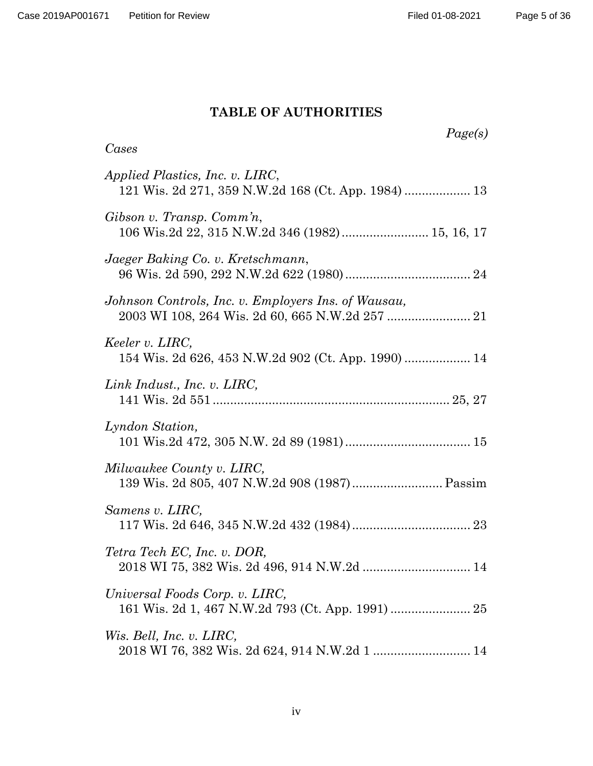## **TABLE OF AUTHORITIES**

| Page(s)<br>Cases                                                           |
|----------------------------------------------------------------------------|
| Applied Plastics, Inc. v. LIRC,                                            |
| Gibson v. Transp. Comm'n,                                                  |
| Jaeger Baking Co. v. Kretschmann,                                          |
| Johnson Controls, Inc. v. Employers Ins. of Wausau,                        |
| Keeler v. LIRC,<br>154 Wis. 2d 626, 453 N.W.2d 902 (Ct. App. 1990)  14     |
| Link Indust., Inc. v. LIRC,                                                |
| Lyndon Station,                                                            |
| Milwaukee County v. LIRC,<br>139 Wis. 2d 805, 407 N.W.2d 908 (1987) Passim |
| Samens v. LIRC,                                                            |
| Tetra Tech EC, Inc. v. DOR,<br>2018 WI 75, 382 Wis. 2d 496, 914 N.W.2d  14 |
| Universal Foods Corp. v. LIRC,                                             |
| Wis. Bell, Inc. v. LIRC,                                                   |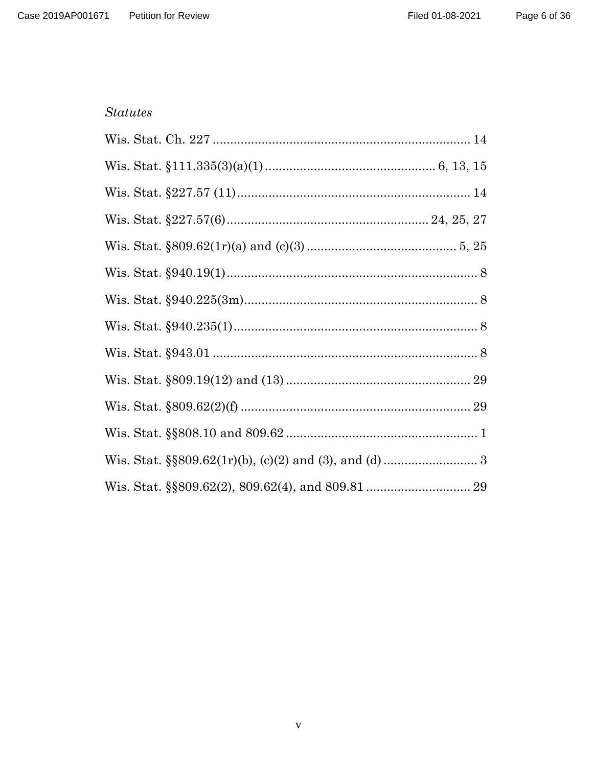#### **Statutes**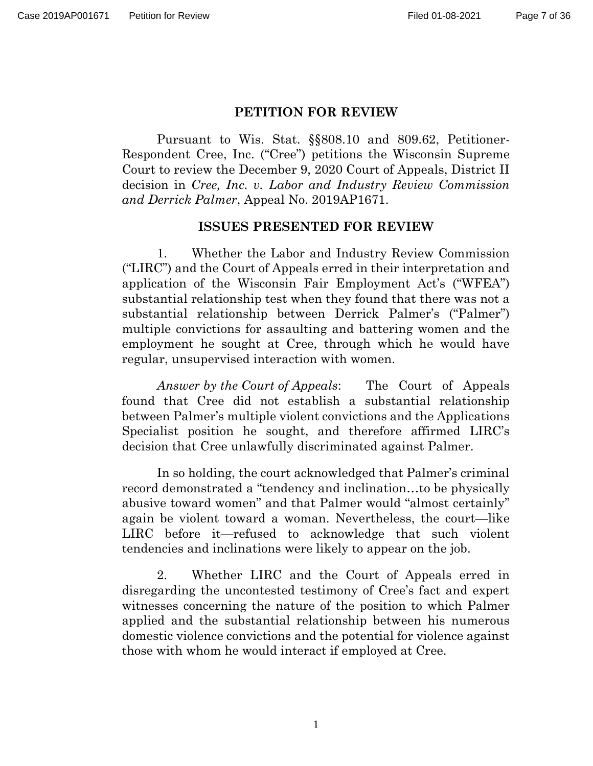#### **PETITION FOR REVIEW**

Pursuant to Wis. Stat. §§808.10 and 809.62, Petitioner-Respondent Cree, Inc. ("Cree") petitions the Wisconsin Supreme Court to review the December 9, 2020 Court of Appeals, District II decision in *Cree, Inc. v. Labor and Industry Review Commission and Derrick Palmer*, Appeal No. 2019AP1671.

#### **ISSUES PRESENTED FOR REVIEW**

1. Whether the Labor and Industry Review Commission ("LIRC") and the Court of Appeals erred in their interpretation and application of the Wisconsin Fair Employment Act's ("WFEA") substantial relationship test when they found that there was not a substantial relationship between Derrick Palmer's ("Palmer") multiple convictions for assaulting and battering women and the employment he sought at Cree, through which he would have regular, unsupervised interaction with women.

*Answer by the Court of Appeals*: The Court of Appeals found that Cree did not establish a substantial relationship between Palmer's multiple violent convictions and the Applications Specialist position he sought, and therefore affirmed LIRC's decision that Cree unlawfully discriminated against Palmer.

In so holding, the court acknowledged that Palmer's criminal record demonstrated a "tendency and inclination…to be physically abusive toward women" and that Palmer would "almost certainly" again be violent toward a woman. Nevertheless, the court—like LIRC before it—refused to acknowledge that such violent tendencies and inclinations were likely to appear on the job.

2. Whether LIRC and the Court of Appeals erred in disregarding the uncontested testimony of Cree's fact and expert witnesses concerning the nature of the position to which Palmer applied and the substantial relationship between his numerous domestic violence convictions and the potential for violence against those with whom he would interact if employed at Cree.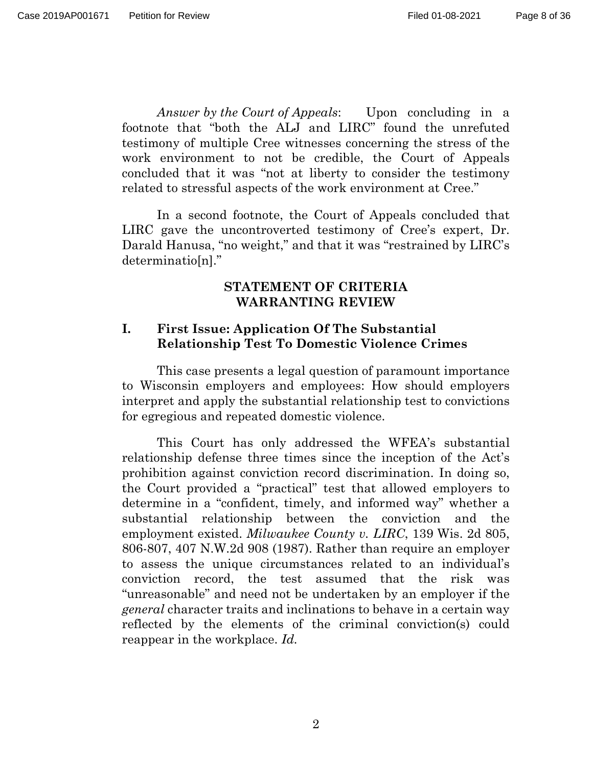*Answer by the Court of Appeals*: Upon concluding in a footnote that "both the ALJ and LIRC" found the unrefuted testimony of multiple Cree witnesses concerning the stress of the work environment to not be credible, the Court of Appeals concluded that it was "not at liberty to consider the testimony related to stressful aspects of the work environment at Cree."

In a second footnote, the Court of Appeals concluded that LIRC gave the uncontroverted testimony of Cree's expert, Dr. Darald Hanusa, "no weight," and that it was "restrained by LIRC's determinatio[n]."

#### **STATEMENT OF CRITERIA WARRANTING REVIEW**

#### **I. First Issue: Application Of The Substantial Relationship Test To Domestic Violence Crimes**

This case presents a legal question of paramount importance to Wisconsin employers and employees: How should employers interpret and apply the substantial relationship test to convictions for egregious and repeated domestic violence.

This Court has only addressed the WFEA's substantial relationship defense three times since the inception of the Act's prohibition against conviction record discrimination. In doing so, the Court provided a "practical" test that allowed employers to determine in a "confident, timely, and informed way" whether a substantial relationship between the conviction and the employment existed. *Milwaukee County v. LIRC*, 139 Wis. 2d 805, 806-807, 407 N.W.2d 908 (1987). Rather than require an employer to assess the unique circumstances related to an individual's conviction record, the test assumed that the risk was "unreasonable" and need not be undertaken by an employer if the *general* character traits and inclinations to behave in a certain way reflected by the elements of the criminal conviction(s) could reappear in the workplace. *Id.*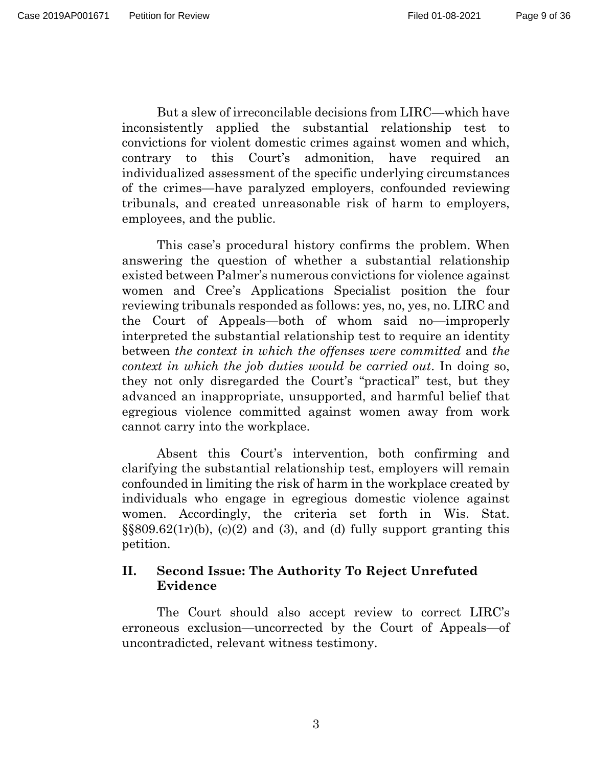But a slew of irreconcilable decisions from LIRC—which have inconsistently applied the substantial relationship test to convictions for violent domestic crimes against women and which, contrary to this Court's admonition, have required an individualized assessment of the specific underlying circumstances of the crimes—have paralyzed employers, confounded reviewing tribunals, and created unreasonable risk of harm to employers, employees, and the public.

This case's procedural history confirms the problem. When answering the question of whether a substantial relationship existed between Palmer's numerous convictions for violence against women and Cree's Applications Specialist position the four reviewing tribunals responded as follows: yes, no, yes, no. LIRC and the Court of Appeals—both of whom said no—improperly interpreted the substantial relationship test to require an identity between *the context in which the offenses were committed* and *the context in which the job duties would be carried out*. In doing so, they not only disregarded the Court's "practical" test, but they advanced an inappropriate, unsupported, and harmful belief that egregious violence committed against women away from work cannot carry into the workplace.

Absent this Court's intervention, both confirming and clarifying the substantial relationship test, employers will remain confounded in limiting the risk of harm in the workplace created by individuals who engage in egregious domestic violence against women. Accordingly, the criteria set forth in Wis. Stat.  $\S$ §809.62(1r)(b), (c)(2) and (3), and (d) fully support granting this petition.

## **II. Second Issue: The Authority To Reject Unrefuted Evidence**

The Court should also accept review to correct LIRC's erroneous exclusion—uncorrected by the Court of Appeals—of uncontradicted, relevant witness testimony.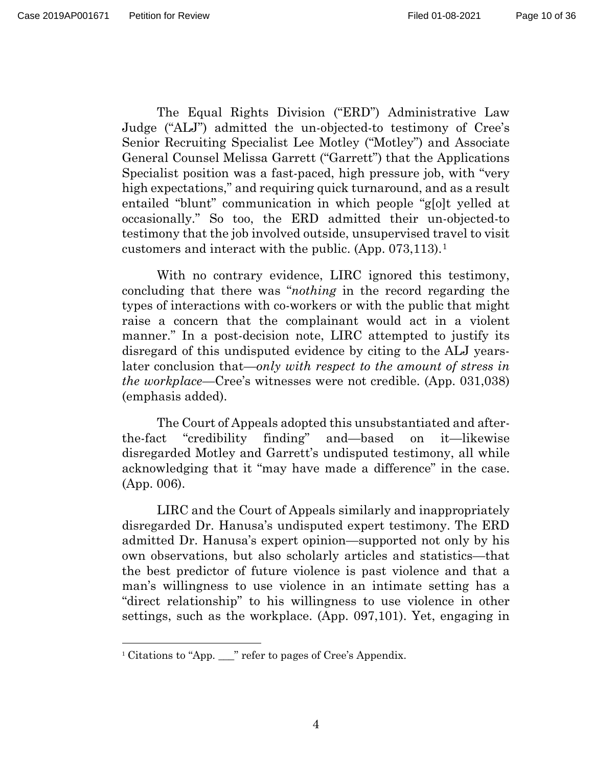The Equal Rights Division ("ERD") Administrative Law Judge ("ALJ") admitted the un-objected-to testimony of Cree's Senior Recruiting Specialist Lee Motley ("Motley") and Associate General Counsel Melissa Garrett ("Garrett") that the Applications Specialist position was a fast-paced, high pressure job, with "very high expectations," and requiring quick turnaround, and as a result entailed "blunt" communication in which people "g[o]t yelled at occasionally." So too, the ERD admitted their un-objected-to testimony that the job involved outside, unsupervised travel to visit customers and interact with the public. (App. 073,113).[1](#page-9-0)

With no contrary evidence, LIRC ignored this testimony, concluding that there was "*nothing* in the record regarding the types of interactions with co-workers or with the public that might raise a concern that the complainant would act in a violent manner." In a post-decision note, LIRC attempted to justify its disregard of this undisputed evidence by citing to the ALJ yearslater conclusion that—*only with respect to the amount of stress in the workplace*—Cree's witnesses were not credible. (App. 031,038) (emphasis added).

The Court of Appeals adopted this unsubstantiated and afterthe-fact "credibility finding" and—based on it—likewise disregarded Motley and Garrett's undisputed testimony, all while acknowledging that it "may have made a difference" in the case. (App. 006).

LIRC and the Court of Appeals similarly and inappropriately disregarded Dr. Hanusa's undisputed expert testimony. The ERD admitted Dr. Hanusa's expert opinion—supported not only by his own observations, but also scholarly articles and statistics—that the best predictor of future violence is past violence and that a man's willingness to use violence in an intimate setting has a "direct relationship" to his willingness to use violence in other settings, such as the workplace. (App. 097,101). Yet, engaging in

<span id="page-9-0"></span><sup>&</sup>lt;sup>1</sup> Citations to "App. \_\_\_" refer to pages of Cree's Appendix.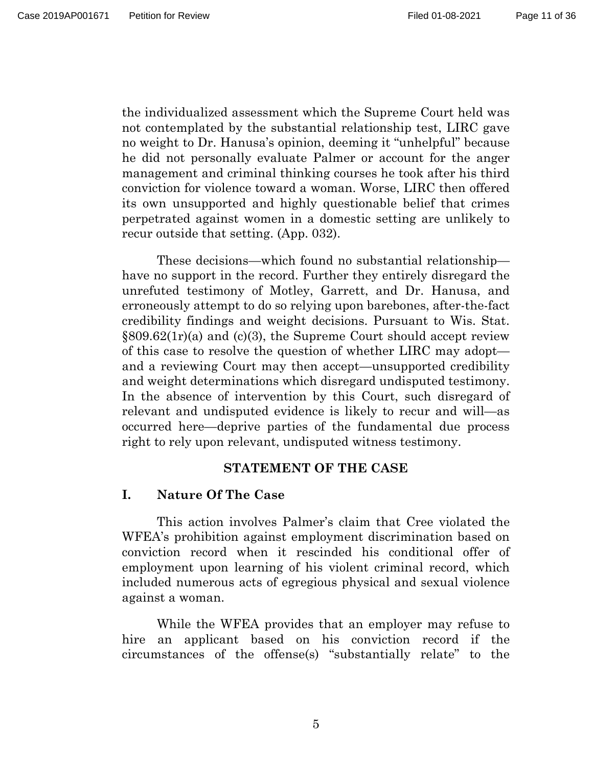the individualized assessment which the Supreme Court held was not contemplated by the substantial relationship test, LIRC gave no weight to Dr. Hanusa's opinion, deeming it "unhelpful" because he did not personally evaluate Palmer or account for the anger management and criminal thinking courses he took after his third conviction for violence toward a woman. Worse, LIRC then offered its own unsupported and highly questionable belief that crimes perpetrated against women in a domestic setting are unlikely to recur outside that setting. (App. 032).

These decisions—which found no substantial relationship have no support in the record. Further they entirely disregard the unrefuted testimony of Motley, Garrett, and Dr. Hanusa, and erroneously attempt to do so relying upon barebones, after-the-fact credibility findings and weight decisions. Pursuant to Wis. Stat.  $\S 809.62(1r)$ (a) and (c)(3), the Supreme Court should accept review of this case to resolve the question of whether LIRC may adopt and a reviewing Court may then accept—unsupported credibility and weight determinations which disregard undisputed testimony. In the absence of intervention by this Court, such disregard of relevant and undisputed evidence is likely to recur and will—as occurred here—deprive parties of the fundamental due process right to rely upon relevant, undisputed witness testimony.

#### **STATEMENT OF THE CASE**

## **I. Nature Of The Case**

This action involves Palmer's claim that Cree violated the WFEA's prohibition against employment discrimination based on conviction record when it rescinded his conditional offer of employment upon learning of his violent criminal record, which included numerous acts of egregious physical and sexual violence against a woman.

While the WFEA provides that an employer may refuse to hire an applicant based on his conviction record if the circumstances of the offense(s) "substantially relate" to the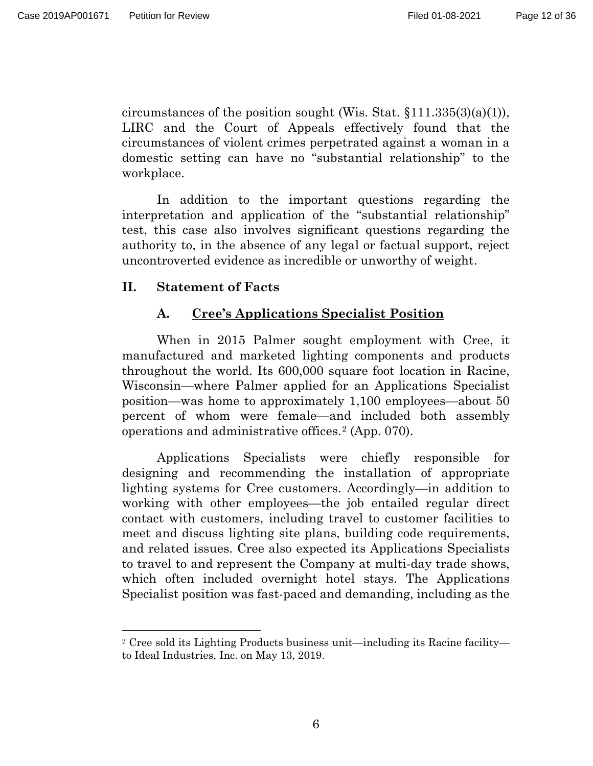$\overline{a}$ 

circumstances of the position sought (Wis. Stat.  $$111.335(3)(a)(1)$ ), LIRC and the Court of Appeals effectively found that the circumstances of violent crimes perpetrated against a woman in a domestic setting can have no "substantial relationship" to the workplace.

In addition to the important questions regarding the interpretation and application of the "substantial relationship" test, this case also involves significant questions regarding the authority to, in the absence of any legal or factual support, reject uncontroverted evidence as incredible or unworthy of weight.

#### **II. Statement of Facts**

#### **A. Cree's Applications Specialist Position**

When in 2015 Palmer sought employment with Cree, it manufactured and marketed lighting components and products throughout the world. Its 600,000 square foot location in Racine, Wisconsin—where Palmer applied for an Applications Specialist position—was home to approximately 1,100 employees—about 50 percent of whom were female—and included both assembly operations and administrative offices.[2](#page-11-0) (App. 070).

Applications Specialists were chiefly responsible for designing and recommending the installation of appropriate lighting systems for Cree customers. Accordingly—in addition to working with other employees—the job entailed regular direct contact with customers, including travel to customer facilities to meet and discuss lighting site plans, building code requirements, and related issues. Cree also expected its Applications Specialists to travel to and represent the Company at multi-day trade shows, which often included overnight hotel stays. The Applications Specialist position was fast-paced and demanding, including as the

<span id="page-11-0"></span><sup>2</sup> Cree sold its Lighting Products business unit—including its Racine facility to Ideal Industries, Inc. on May 13, 2019.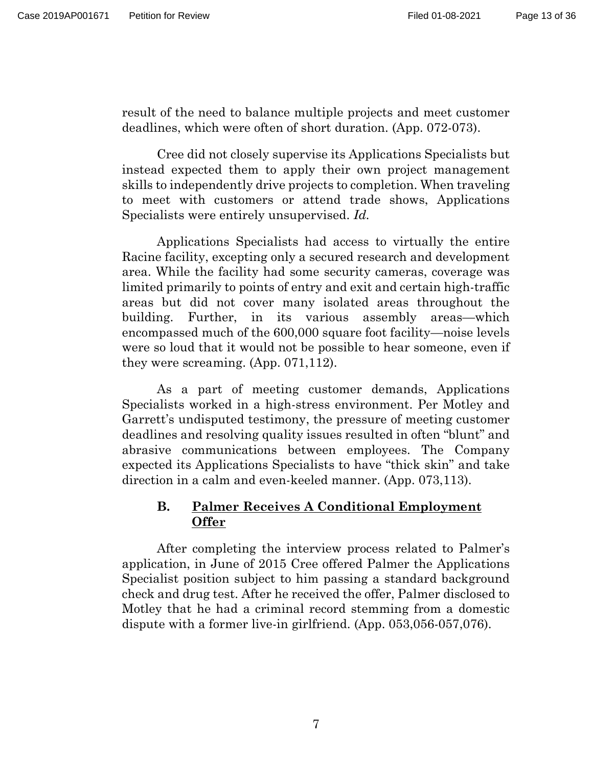result of the need to balance multiple projects and meet customer deadlines, which were often of short duration. (App. 072-073).

Cree did not closely supervise its Applications Specialists but instead expected them to apply their own project management skills to independently drive projects to completion. When traveling to meet with customers or attend trade shows, Applications Specialists were entirely unsupervised. *Id.*

Applications Specialists had access to virtually the entire Racine facility, excepting only a secured research and development area. While the facility had some security cameras, coverage was limited primarily to points of entry and exit and certain high-traffic areas but did not cover many isolated areas throughout the building. Further, in its various assembly areas—which encompassed much of the 600,000 square foot facility—noise levels were so loud that it would not be possible to hear someone, even if they were screaming. (App. 071,112).

As a part of meeting customer demands, Applications Specialists worked in a high-stress environment. Per Motley and Garrett's undisputed testimony, the pressure of meeting customer deadlines and resolving quality issues resulted in often "blunt" and abrasive communications between employees. The Company expected its Applications Specialists to have "thick skin" and take direction in a calm and even-keeled manner. (App. 073,113).

## **B. Palmer Receives A Conditional Employment Offer**

After completing the interview process related to Palmer's application, in June of 2015 Cree offered Palmer the Applications Specialist position subject to him passing a standard background check and drug test. After he received the offer, Palmer disclosed to Motley that he had a criminal record stemming from a domestic dispute with a former live-in girlfriend. (App. 053,056-057,076).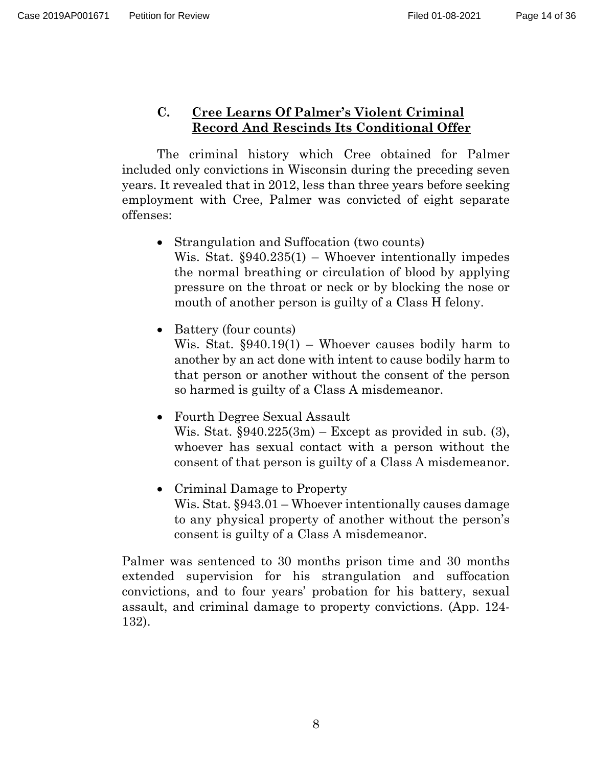## **C. Cree Learns Of Palmer's Violent Criminal Record And Rescinds Its Conditional Offer**

The criminal history which Cree obtained for Palmer included only convictions in Wisconsin during the preceding seven years. It revealed that in 2012, less than three years before seeking employment with Cree, Palmer was convicted of eight separate offenses:

- Strangulation and Suffocation (two counts) Wis. Stat.  $\S 940.235(1)$  – Whoever intentionally impedes the normal breathing or circulation of blood by applying pressure on the throat or neck or by blocking the nose or mouth of another person is guilty of a Class H felony.
- Battery (four counts)

Wis. Stat.  $\S 940.19(1)$  – Whoever causes bodily harm to another by an act done with intent to cause bodily harm to that person or another without the consent of the person so harmed is guilty of a Class A misdemeanor.

- Fourth Degree Sexual Assault Wis. Stat. §940.225(3m) – Except as provided in sub. (3), whoever has sexual contact with a person without the consent of that person is guilty of a Class A misdemeanor.
- Criminal Damage to Property Wis. Stat. §943.01 – Whoever intentionally causes damage to any physical property of another without the person's consent is guilty of a Class A misdemeanor.

Palmer was sentenced to 30 months prison time and 30 months extended supervision for his strangulation and suffocation convictions, and to four years' probation for his battery, sexual assault, and criminal damage to property convictions. (App. 124- 132).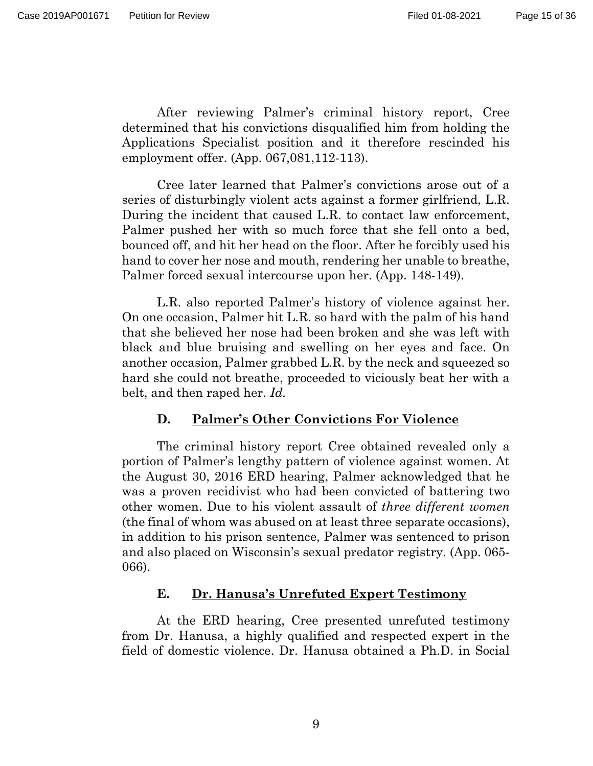After reviewing Palmer's criminal history report, Cree determined that his convictions disqualified him from holding the Applications Specialist position and it therefore rescinded his employment offer. (App. 067,081,112-113).

Cree later learned that Palmer's convictions arose out of a series of disturbingly violent acts against a former girlfriend, L.R. During the incident that caused L.R. to contact law enforcement, Palmer pushed her with so much force that she fell onto a bed, bounced off, and hit her head on the floor. After he forcibly used his hand to cover her nose and mouth, rendering her unable to breathe, Palmer forced sexual intercourse upon her. (App. 148-149).

L.R. also reported Palmer's history of violence against her. On one occasion, Palmer hit L.R. so hard with the palm of his hand that she believed her nose had been broken and she was left with black and blue bruising and swelling on her eyes and face. On another occasion, Palmer grabbed L.R. by the neck and squeezed so hard she could not breathe, proceeded to viciously beat her with a belt, and then raped her. *Id.*

## **D. Palmer's Other Convictions For Violence**

The criminal history report Cree obtained revealed only a portion of Palmer's lengthy pattern of violence against women. At the August 30, 2016 ERD hearing, Palmer acknowledged that he was a proven recidivist who had been convicted of battering two other women. Due to his violent assault of *three different women* (the final of whom was abused on at least three separate occasions), in addition to his prison sentence, Palmer was sentenced to prison and also placed on Wisconsin's sexual predator registry. (App. 065- 066).

#### **E. Dr. Hanusa's Unrefuted Expert Testimony**

At the ERD hearing, Cree presented unrefuted testimony from Dr. Hanusa, a highly qualified and respected expert in the field of domestic violence. Dr. Hanusa obtained a Ph.D. in Social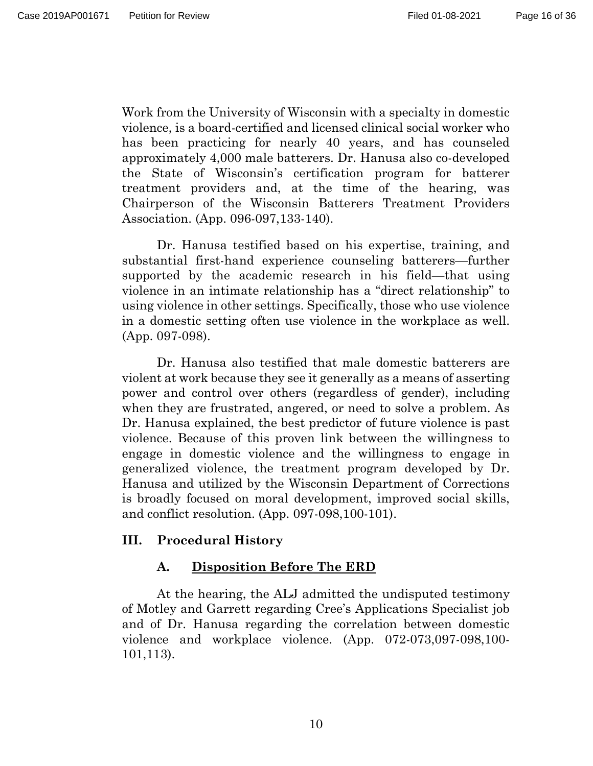Work from the University of Wisconsin with a specialty in domestic violence, is a board-certified and licensed clinical social worker who has been practicing for nearly 40 years, and has counseled approximately 4,000 male batterers. Dr. Hanusa also co-developed the State of Wisconsin's certification program for batterer treatment providers and, at the time of the hearing, was Chairperson of the Wisconsin Batterers Treatment Providers Association. (App. 096-097,133-140).

Dr. Hanusa testified based on his expertise, training, and substantial first-hand experience counseling batterers—further supported by the academic research in his field—that using violence in an intimate relationship has a "direct relationship" to using violence in other settings. Specifically, those who use violence in a domestic setting often use violence in the workplace as well. (App. 097-098).

Dr. Hanusa also testified that male domestic batterers are violent at work because they see it generally as a means of asserting power and control over others (regardless of gender), including when they are frustrated, angered, or need to solve a problem. As Dr. Hanusa explained, the best predictor of future violence is past violence. Because of this proven link between the willingness to engage in domestic violence and the willingness to engage in generalized violence, the treatment program developed by Dr. Hanusa and utilized by the Wisconsin Department of Corrections is broadly focused on moral development, improved social skills, and conflict resolution. (App. 097-098,100-101).

# **III. Procedural History**

# **A. Disposition Before The ERD**

At the hearing, the ALJ admitted the undisputed testimony of Motley and Garrett regarding Cree's Applications Specialist job and of Dr. Hanusa regarding the correlation between domestic violence and workplace violence. (App. 072-073,097-098,100- 101,113).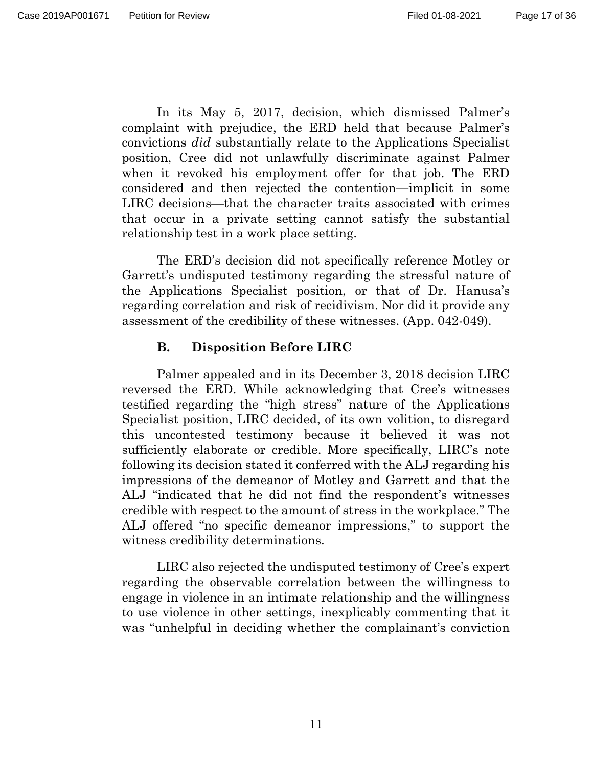In its May 5, 2017, decision, which dismissed Palmer's complaint with prejudice, the ERD held that because Palmer's convictions *did* substantially relate to the Applications Specialist position, Cree did not unlawfully discriminate against Palmer when it revoked his employment offer for that job. The ERD considered and then rejected the contention—implicit in some LIRC decisions—that the character traits associated with crimes that occur in a private setting cannot satisfy the substantial relationship test in a work place setting.

The ERD's decision did not specifically reference Motley or Garrett's undisputed testimony regarding the stressful nature of the Applications Specialist position, or that of Dr. Hanusa's regarding correlation and risk of recidivism. Nor did it provide any assessment of the credibility of these witnesses. (App. 042-049).

# **B. Disposition Before LIRC**

Palmer appealed and in its December 3, 2018 decision LIRC reversed the ERD. While acknowledging that Cree's witnesses testified regarding the "high stress" nature of the Applications Specialist position, LIRC decided, of its own volition, to disregard this uncontested testimony because it believed it was not sufficiently elaborate or credible. More specifically, LIRC's note following its decision stated it conferred with the ALJ regarding his impressions of the demeanor of Motley and Garrett and that the ALJ "indicated that he did not find the respondent's witnesses credible with respect to the amount of stress in the workplace." The ALJ offered "no specific demeanor impressions," to support the witness credibility determinations.

LIRC also rejected the undisputed testimony of Cree's expert regarding the observable correlation between the willingness to engage in violence in an intimate relationship and the willingness to use violence in other settings, inexplicably commenting that it was "unhelpful in deciding whether the complainant's conviction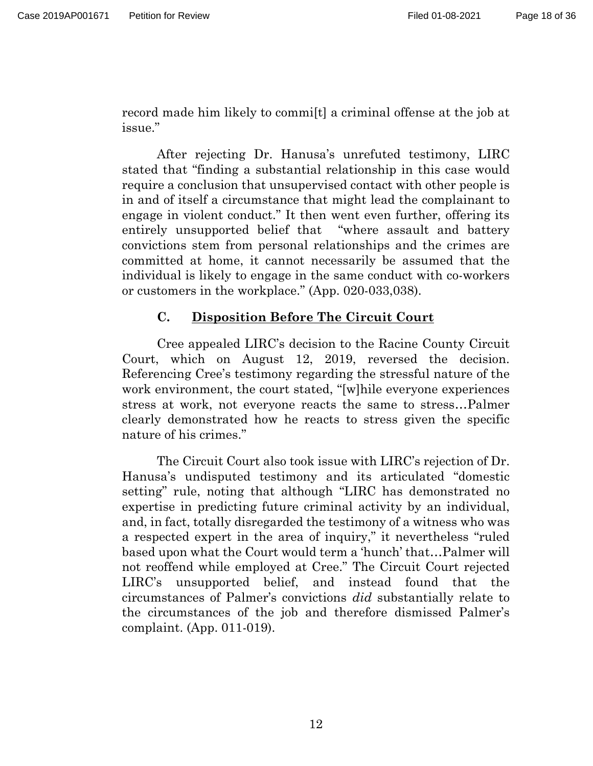record made him likely to commi[t] a criminal offense at the job at issue."

After rejecting Dr. Hanusa's unrefuted testimony, LIRC stated that "finding a substantial relationship in this case would require a conclusion that unsupervised contact with other people is in and of itself a circumstance that might lead the complainant to engage in violent conduct." It then went even further, offering its entirely unsupported belief that "where assault and battery convictions stem from personal relationships and the crimes are committed at home, it cannot necessarily be assumed that the individual is likely to engage in the same conduct with co-workers or customers in the workplace." (App. 020-033,038).

#### **C. Disposition Before The Circuit Court**

Cree appealed LIRC's decision to the Racine County Circuit Court, which on August 12, 2019, reversed the decision. Referencing Cree's testimony regarding the stressful nature of the work environment, the court stated, "[w]hile everyone experiences stress at work, not everyone reacts the same to stress…Palmer clearly demonstrated how he reacts to stress given the specific nature of his crimes."

The Circuit Court also took issue with LIRC's rejection of Dr. Hanusa's undisputed testimony and its articulated "domestic setting" rule, noting that although "LIRC has demonstrated no expertise in predicting future criminal activity by an individual, and, in fact, totally disregarded the testimony of a witness who was a respected expert in the area of inquiry," it nevertheless "ruled based upon what the Court would term a 'hunch' that…Palmer will not reoffend while employed at Cree." The Circuit Court rejected LIRC's unsupported belief, and instead found that the circumstances of Palmer's convictions *did* substantially relate to the circumstances of the job and therefore dismissed Palmer's complaint. (App. 011-019).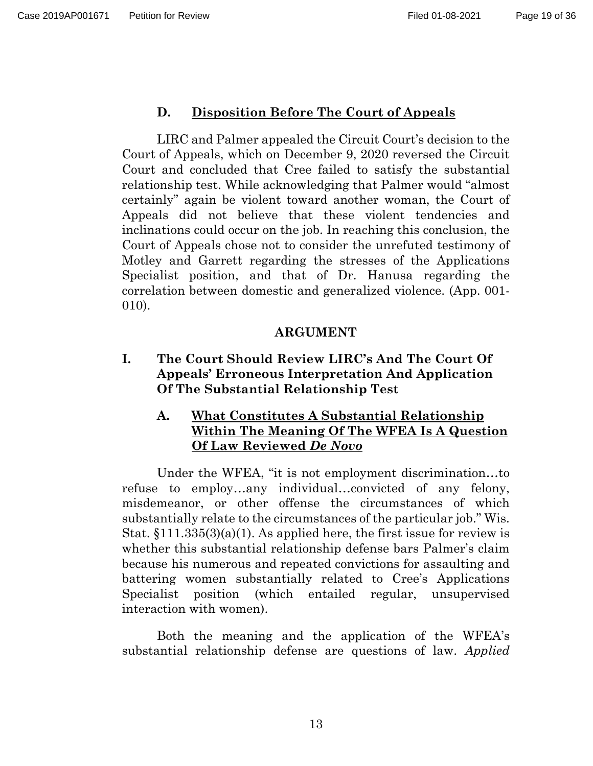#### **D. Disposition Before The Court of Appeals**

LIRC and Palmer appealed the Circuit Court's decision to the Court of Appeals, which on December 9, 2020 reversed the Circuit Court and concluded that Cree failed to satisfy the substantial relationship test. While acknowledging that Palmer would "almost certainly" again be violent toward another woman, the Court of Appeals did not believe that these violent tendencies and inclinations could occur on the job. In reaching this conclusion, the Court of Appeals chose not to consider the unrefuted testimony of Motley and Garrett regarding the stresses of the Applications Specialist position, and that of Dr. Hanusa regarding the correlation between domestic and generalized violence. (App. 001- 010).

#### **ARGUMENT**

**I. The Court Should Review LIRC's And The Court Of Appeals' Erroneous Interpretation And Application Of The Substantial Relationship Test**

## **A. What Constitutes A Substantial Relationship Within The Meaning Of The WFEA Is A Question Of Law Reviewed** *De Novo*

Under the WFEA, "it is not employment discrimination…to refuse to employ…any individual…convicted of any felony, misdemeanor, or other offense the circumstances of which substantially relate to the circumstances of the particular job." Wis. Stat. §111.335(3)(a)(1). As applied here, the first issue for review is whether this substantial relationship defense bars Palmer's claim because his numerous and repeated convictions for assaulting and battering women substantially related to Cree's Applications Specialist position (which entailed regular, unsupervised interaction with women).

Both the meaning and the application of the WFEA's substantial relationship defense are questions of law. *Applied*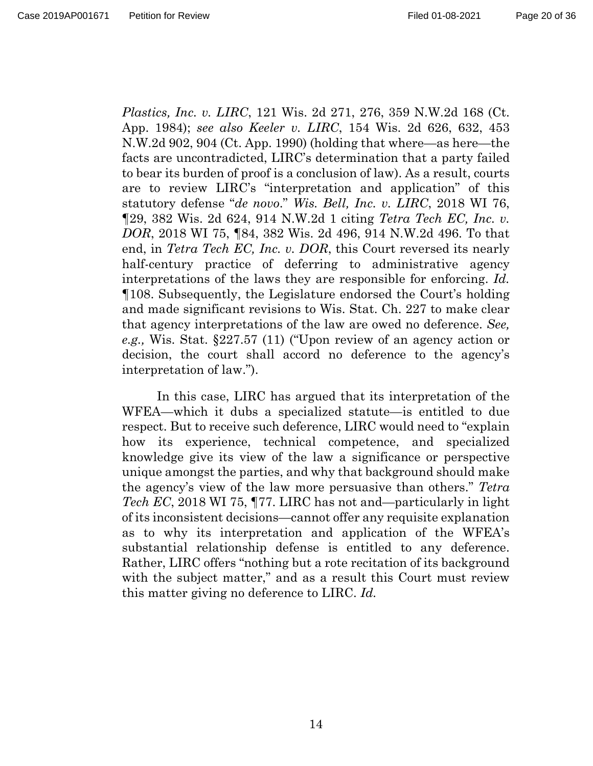*Plastics, Inc. v. LIRC*, 121 Wis. 2d 271, 276, 359 N.W.2d 168 (Ct. App. 1984); *see also Keeler v. LIRC*, 154 Wis. 2d 626, 632, 453 N.W.2d 902, 904 (Ct. App. 1990) (holding that where—as here—the facts are uncontradicted, LIRC's determination that a party failed to bear its burden of proof is a conclusion of law). As a result, courts are to review LIRC's "interpretation and application" of this statutory defense "*de novo*." *Wis. Bell, Inc. v. LIRC*, 2018 WI 76, ¶29, 382 Wis. 2d 624, 914 N.W.2d 1 citing *Tetra Tech EC, Inc. v. DOR*, 2018 WI 75, ¶84, 382 Wis. 2d 496, 914 N.W.2d 496. To that end, in *Tetra Tech EC, Inc. v. DOR*, this Court reversed its nearly half-century practice of deferring to administrative agency interpretations of the laws they are responsible for enforcing. *Id.*  ¶108. Subsequently, the Legislature endorsed the Court's holding and made significant revisions to Wis. Stat. Ch. 227 to make clear that agency interpretations of the law are owed no deference. *See, e.g.,* Wis. Stat. §227.57 (11) ("Upon review of an agency action or decision, the court shall accord no deference to the agency's interpretation of law.").

In this case, LIRC has argued that its interpretation of the WFEA—which it dubs a specialized statute—is entitled to due respect. But to receive such deference, LIRC would need to "explain how its experience, technical competence, and specialized knowledge give its view of the law a significance or perspective unique amongst the parties, and why that background should make the agency's view of the law more persuasive than others." *Tetra Tech EC*, 2018 WI 75, ¶77. LIRC has not and—particularly in light of its inconsistent decisions—cannot offer any requisite explanation as to why its interpretation and application of the WFEA's substantial relationship defense is entitled to any deference. Rather, LIRC offers "nothing but a rote recitation of its background with the subject matter," and as a result this Court must review this matter giving no deference to LIRC. *Id.*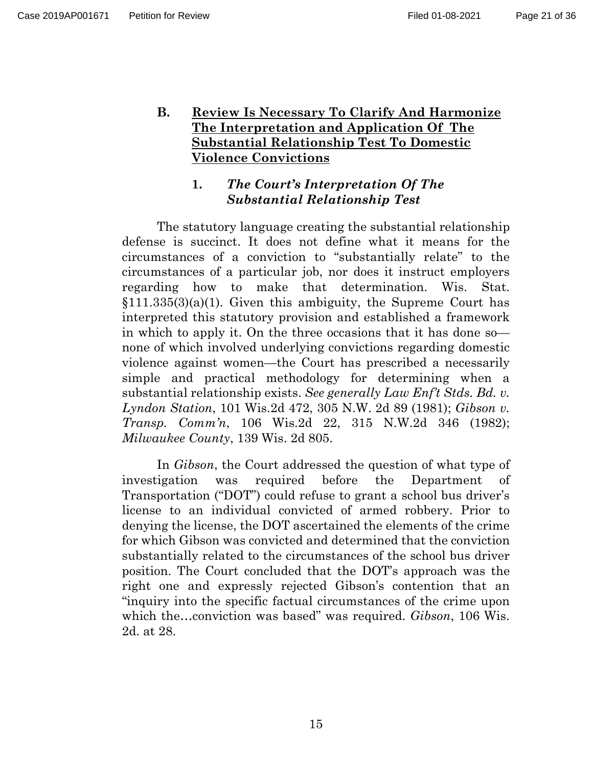## **B. Review Is Necessary To Clarify And Harmonize The Interpretation and Application Of The Substantial Relationship Test To Domestic Violence Convictions**

## **1.** *The Court's Interpretation Of The Substantial Relationship Test*

The statutory language creating the substantial relationship defense is succinct. It does not define what it means for the circumstances of a conviction to "substantially relate" to the circumstances of a particular job, nor does it instruct employers regarding how to make that determination. Wis. Stat.  $$111.335(3)(a)(1)$ . Given this ambiguity, the Supreme Court has interpreted this statutory provision and established a framework in which to apply it. On the three occasions that it has done so none of which involved underlying convictions regarding domestic violence against women—the Court has prescribed a necessarily simple and practical methodology for determining when a substantial relationship exists. *See generally Law Enf't Stds. Bd. v. Lyndon Station*, 101 Wis.2d 472, 305 N.W. 2d 89 (1981); *Gibson v. Transp. Comm'n*, 106 Wis.2d 22, 315 N.W.2d 346 (1982); *Milwaukee County*, 139 Wis. 2d 805.

In *Gibson*, the Court addressed the question of what type of investigation was required before the Department of Transportation ("DOT") could refuse to grant a school bus driver's license to an individual convicted of armed robbery. Prior to denying the license, the DOT ascertained the elements of the crime for which Gibson was convicted and determined that the conviction substantially related to the circumstances of the school bus driver position. The Court concluded that the DOT's approach was the right one and expressly rejected Gibson's contention that an "inquiry into the specific factual circumstances of the crime upon which the…conviction was based" was required. *Gibson*, 106 Wis. 2d. at 28.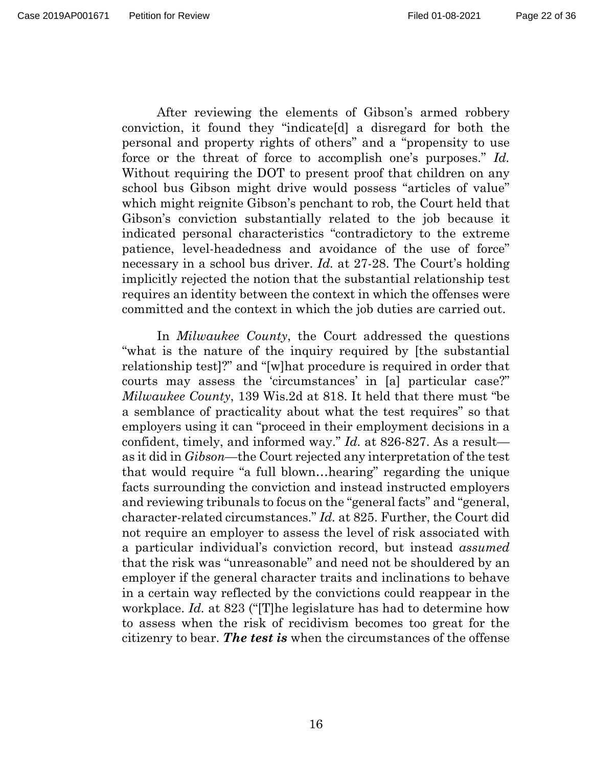After reviewing the elements of Gibson's armed robbery conviction, it found they "indicate[d] a disregard for both the personal and property rights of others" and a "propensity to use force or the threat of force to accomplish one's purposes." *Id.* Without requiring the DOT to present proof that children on any school bus Gibson might drive would possess "articles of value" which might reignite Gibson's penchant to rob, the Court held that Gibson's conviction substantially related to the job because it indicated personal characteristics "contradictory to the extreme patience, level-headedness and avoidance of the use of force" necessary in a school bus driver. *Id.* at 27-28. The Court's holding implicitly rejected the notion that the substantial relationship test requires an identity between the context in which the offenses were committed and the context in which the job duties are carried out.

In *Milwaukee County*, the Court addressed the questions "what is the nature of the inquiry required by [the substantial relationship test]?" and "[w]hat procedure is required in order that courts may assess the 'circumstances' in [a] particular case?" *Milwaukee County*, 139 Wis.2d at 818. It held that there must "be a semblance of practicality about what the test requires" so that employers using it can "proceed in their employment decisions in a confident, timely, and informed way." *Id.* at 826-827. As a result as it did in *Gibson*—the Court rejected any interpretation of the test that would require "a full blown…hearing" regarding the unique facts surrounding the conviction and instead instructed employers and reviewing tribunals to focus on the "general facts" and "general, character-related circumstances." *Id.* at 825. Further, the Court did not require an employer to assess the level of risk associated with a particular individual's conviction record, but instead *assumed* that the risk was "unreasonable" and need not be shouldered by an employer if the general character traits and inclinations to behave in a certain way reflected by the convictions could reappear in the workplace. *Id.* at 823 ("[T]he legislature has had to determine how to assess when the risk of recidivism becomes too great for the citizenry to bear. *The test is* when the circumstances of the offense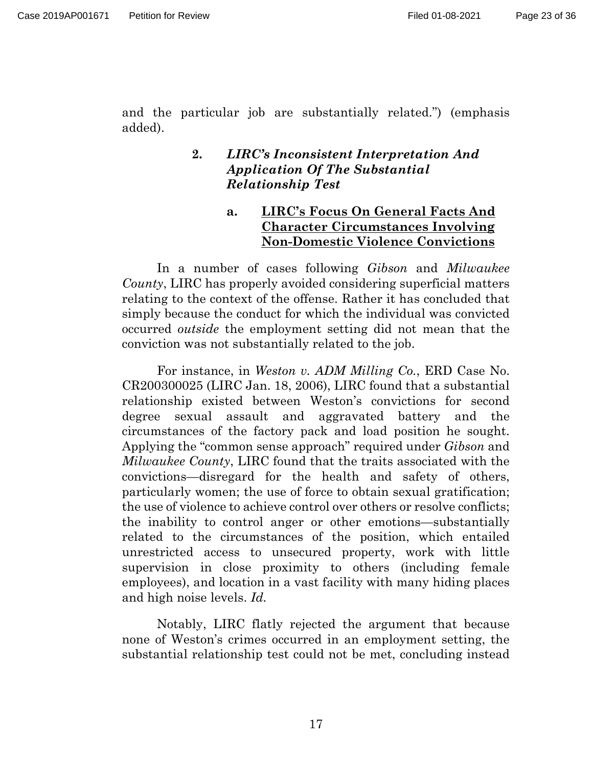and the particular job are substantially related.") (emphasis added).

#### **2.** *LIRC's Inconsistent Interpretation And Application Of The Substantial Relationship Test*

## **a. LIRC's Focus On General Facts And Character Circumstances Involving Non-Domestic Violence Convictions**

In a number of cases following *Gibson* and *Milwaukee County*, LIRC has properly avoided considering superficial matters relating to the context of the offense. Rather it has concluded that simply because the conduct for which the individual was convicted occurred *outside* the employment setting did not mean that the conviction was not substantially related to the job.

For instance, in *Weston v. ADM Milling Co.*, ERD Case No. CR200300025 (LIRC Jan. 18, 2006), LIRC found that a substantial relationship existed between Weston's convictions for second degree sexual assault and aggravated battery and the circumstances of the factory pack and load position he sought. Applying the "common sense approach" required under *Gibson* and *Milwaukee County*, LIRC found that the traits associated with the convictions—disregard for the health and safety of others, particularly women; the use of force to obtain sexual gratification; the use of violence to achieve control over others or resolve conflicts; the inability to control anger or other emotions—substantially related to the circumstances of the position, which entailed unrestricted access to unsecured property, work with little supervision in close proximity to others (including female employees), and location in a vast facility with many hiding places and high noise levels. *Id.*

Notably, LIRC flatly rejected the argument that because none of Weston's crimes occurred in an employment setting, the substantial relationship test could not be met, concluding instead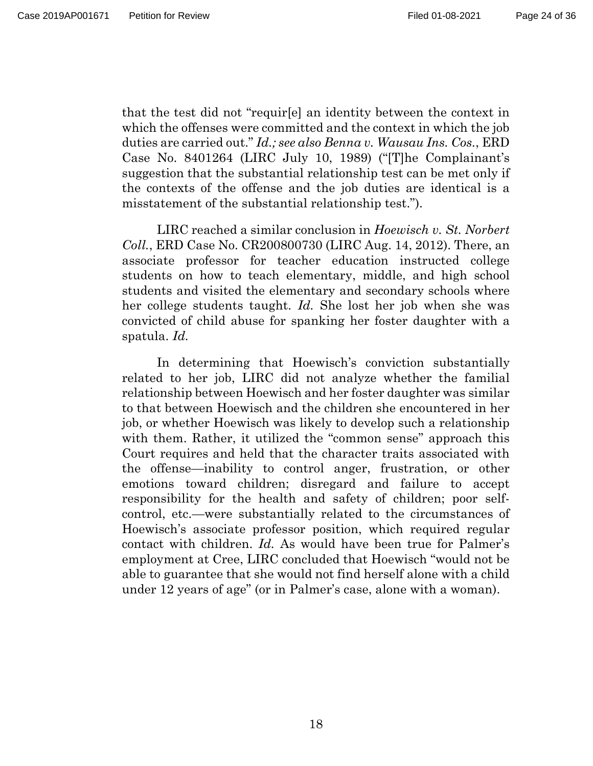that the test did not "requir[e] an identity between the context in which the offenses were committed and the context in which the job duties are carried out." *Id.; see also Benna v. Wausau Ins. Cos.*, ERD Case No. 8401264 (LIRC July 10, 1989) ("[T]he Complainant's suggestion that the substantial relationship test can be met only if the contexts of the offense and the job duties are identical is a misstatement of the substantial relationship test.").

LIRC reached a similar conclusion in *Hoewisch v. St. Norbert Coll.*, ERD Case No. CR200800730 (LIRC Aug. 14, 2012). There, an associate professor for teacher education instructed college students on how to teach elementary, middle, and high school students and visited the elementary and secondary schools where her college students taught. *Id.* She lost her job when she was convicted of child abuse for spanking her foster daughter with a spatula. *Id.*

In determining that Hoewisch's conviction substantially related to her job, LIRC did not analyze whether the familial relationship between Hoewisch and her foster daughter was similar to that between Hoewisch and the children she encountered in her job, or whether Hoewisch was likely to develop such a relationship with them. Rather, it utilized the "common sense" approach this Court requires and held that the character traits associated with the offense—inability to control anger, frustration, or other emotions toward children; disregard and failure to accept responsibility for the health and safety of children; poor selfcontrol, etc.—were substantially related to the circumstances of Hoewisch's associate professor position, which required regular contact with children. *Id.* As would have been true for Palmer's employment at Cree, LIRC concluded that Hoewisch "would not be able to guarantee that she would not find herself alone with a child under 12 years of age" (or in Palmer's case, alone with a woman).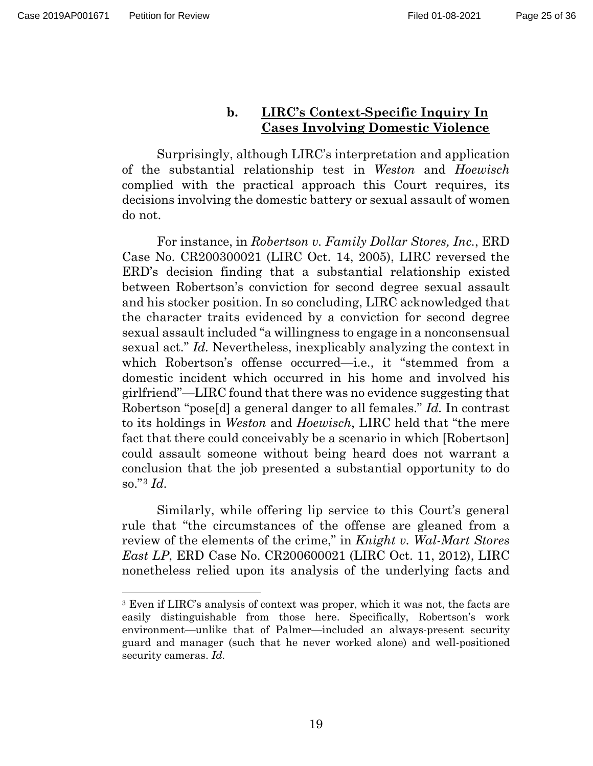$\overline{a}$ 

#### Page 25 of 36

#### **b. LIRC's Context-Specific Inquiry In Cases Involving Domestic Violence**

Surprisingly, although LIRC's interpretation and application of the substantial relationship test in *Weston* and *Hoewisch* complied with the practical approach this Court requires, its decisions involving the domestic battery or sexual assault of women do not.

For instance, in *Robertson v. Family Dollar Stores, Inc.*, ERD Case No. CR200300021 (LIRC Oct. 14, 2005), LIRC reversed the ERD's decision finding that a substantial relationship existed between Robertson's conviction for second degree sexual assault and his stocker position. In so concluding, LIRC acknowledged that the character traits evidenced by a conviction for second degree sexual assault included "a willingness to engage in a nonconsensual sexual act." *Id.* Nevertheless, inexplicably analyzing the context in which Robertson's offense occurred—i.e., it "stemmed from a domestic incident which occurred in his home and involved his girlfriend"—LIRC found that there was no evidence suggesting that Robertson "pose[d] a general danger to all females." *Id.* In contrast to its holdings in *Weston* and *Hoewisch*, LIRC held that "the mere fact that there could conceivably be a scenario in which [Robertson] could assault someone without being heard does not warrant a conclusion that the job presented a substantial opportunity to do so."[3](#page-24-0) *Id.*

Similarly, while offering lip service to this Court's general rule that "the circumstances of the offense are gleaned from a review of the elements of the crime," in *Knight v. Wal-Mart Stores East LP*, ERD Case No. CR200600021 (LIRC Oct. 11, 2012), LIRC nonetheless relied upon its analysis of the underlying facts and

<span id="page-24-0"></span><sup>3</sup> Even if LIRC's analysis of context was proper, which it was not, the facts are easily distinguishable from those here. Specifically, Robertson's work environment—unlike that of Palmer—included an always-present security guard and manager (such that he never worked alone) and well-positioned security cameras. *Id.*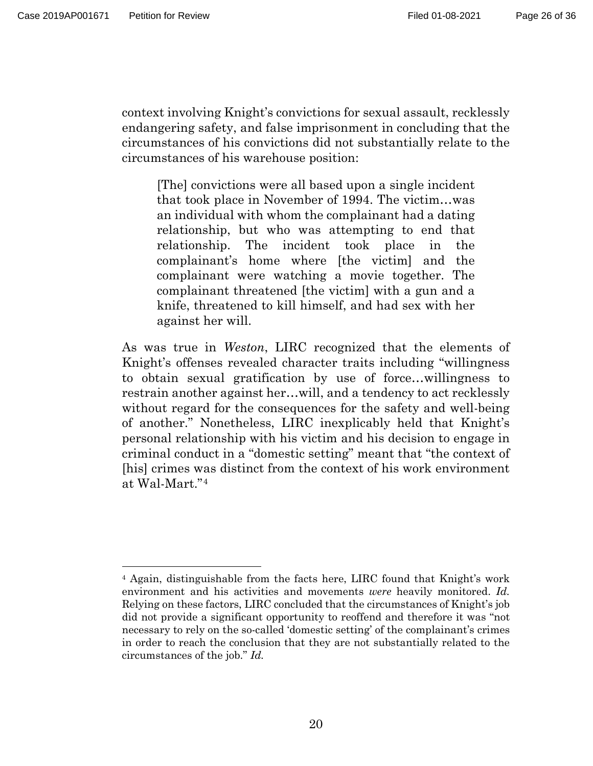$\overline{a}$ 

context involving Knight's convictions for sexual assault, recklessly endangering safety, and false imprisonment in concluding that the circumstances of his convictions did not substantially relate to the circumstances of his warehouse position:

[The] convictions were all based upon a single incident that took place in November of 1994. The victim…was an individual with whom the complainant had a dating relationship, but who was attempting to end that relationship. The incident took place in the complainant's home where [the victim] and the complainant were watching a movie together. The complainant threatened [the victim] with a gun and a knife, threatened to kill himself, and had sex with her against her will.

As was true in *Weston*, LIRC recognized that the elements of Knight's offenses revealed character traits including "willingness to obtain sexual gratification by use of force…willingness to restrain another against her…will, and a tendency to act recklessly without regard for the consequences for the safety and well-being of another." Nonetheless, LIRC inexplicably held that Knight's personal relationship with his victim and his decision to engage in criminal conduct in a "domestic setting" meant that "the context of [his] crimes was distinct from the context of his work environment at Wal-Mart."[4](#page-25-0)

<span id="page-25-0"></span><sup>4</sup> Again, distinguishable from the facts here, LIRC found that Knight's work environment and his activities and movements *were* heavily monitored. *Id.* Relying on these factors, LIRC concluded that the circumstances of Knight's job did not provide a significant opportunity to reoffend and therefore it was "not necessary to rely on the so-called 'domestic setting' of the complainant's crimes in order to reach the conclusion that they are not substantially related to the circumstances of the job." *Id.*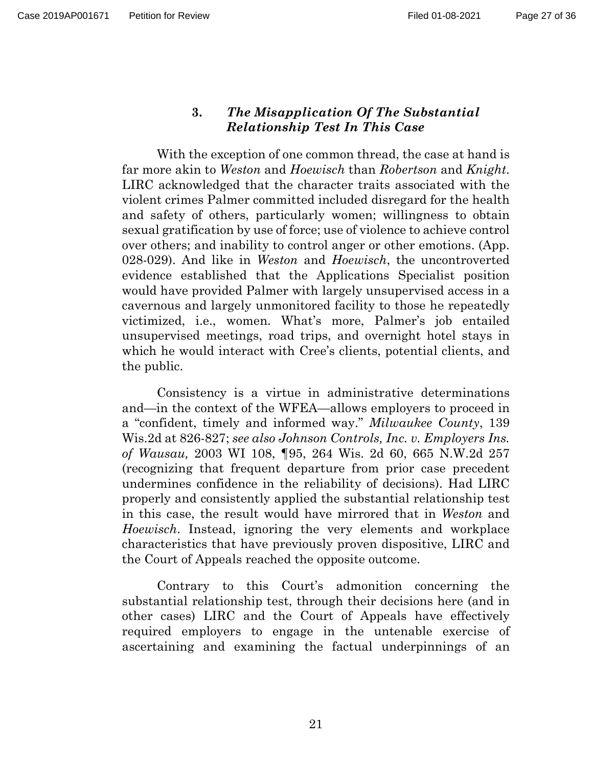#### **3.** *The Misapplication Of The Substantial Relationship Test In This Case*

With the exception of one common thread, the case at hand is far more akin to *Weston* and *Hoewisch* than *Robertson* and *Knight*. LIRC acknowledged that the character traits associated with the violent crimes Palmer committed included disregard for the health and safety of others, particularly women; willingness to obtain sexual gratification by use of force; use of violence to achieve control over others; and inability to control anger or other emotions. (App. 028-029). And like in *Weston* and *Hoewisch*, the uncontroverted evidence established that the Applications Specialist position would have provided Palmer with largely unsupervised access in a cavernous and largely unmonitored facility to those he repeatedly victimized, i.e., women. What's more, Palmer's job entailed unsupervised meetings, road trips, and overnight hotel stays in which he would interact with Cree's clients, potential clients, and the public.

Consistency is a virtue in administrative determinations and—in the context of the WFEA—allows employers to proceed in a "confident, timely and informed way." *Milwaukee County*, 139 Wis.2d at 826-827; *see also Johnson Controls, Inc. v. Employers Ins. of Wausau,* 2003 WI 108, ¶95, 264 Wis. 2d 60, 665 N.W.2d 257 (recognizing that frequent departure from prior case precedent undermines confidence in the reliability of decisions). Had LIRC properly and consistently applied the substantial relationship test in this case, the result would have mirrored that in *Weston* and *Hoewisch*. Instead, ignoring the very elements and workplace characteristics that have previously proven dispositive, LIRC and the Court of Appeals reached the opposite outcome.

Contrary to this Court's admonition concerning the substantial relationship test, through their decisions here (and in other cases) LIRC and the Court of Appeals have effectively required employers to engage in the untenable exercise of ascertaining and examining the factual underpinnings of an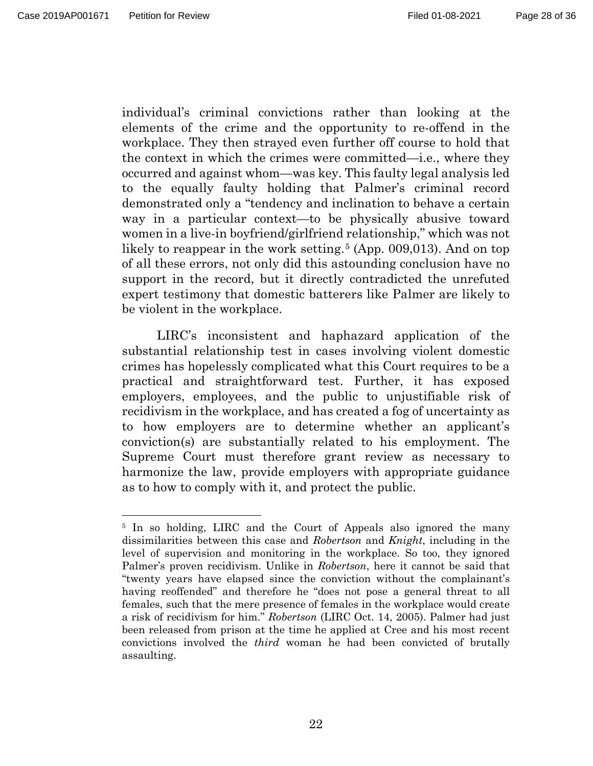$\overline{a}$ 

individual's criminal convictions rather than looking at the elements of the crime and the opportunity to re-offend in the workplace. They then strayed even further off course to hold that the context in which the crimes were committed—i.e., where they occurred and against whom—was key. This faulty legal analysis led to the equally faulty holding that Palmer's criminal record demonstrated only a "tendency and inclination to behave a certain way in a particular context—to be physically abusive toward women in a live-in boyfriend/girlfriend relationship," which was not likely to reappear in the work setting.<sup>[5](#page-27-0)</sup> (App. 009,013). And on top of all these errors, not only did this astounding conclusion have no support in the record, but it directly contradicted the unrefuted expert testimony that domestic batterers like Palmer are likely to be violent in the workplace.

LIRC's inconsistent and haphazard application of the substantial relationship test in cases involving violent domestic crimes has hopelessly complicated what this Court requires to be a practical and straightforward test. Further, it has exposed employers, employees, and the public to unjustifiable risk of recidivism in the workplace, and has created a fog of uncertainty as to how employers are to determine whether an applicant's conviction(s) are substantially related to his employment. The Supreme Court must therefore grant review as necessary to harmonize the law, provide employers with appropriate guidance as to how to comply with it, and protect the public.

<span id="page-27-0"></span><sup>5</sup> In so holding, LIRC and the Court of Appeals also ignored the many dissimilarities between this case and *Robertson* and *Knight*, including in the level of supervision and monitoring in the workplace. So too, they ignored Palmer's proven recidivism. Unlike in *Robertson*, here it cannot be said that "twenty years have elapsed since the conviction without the complainant's having reoffended" and therefore he "does not pose a general threat to all females, such that the mere presence of females in the workplace would create a risk of recidivism for him." *Robertson* (LIRC Oct. 14, 2005). Palmer had just been released from prison at the time he applied at Cree and his most recent convictions involved the *third* woman he had been convicted of brutally assaulting.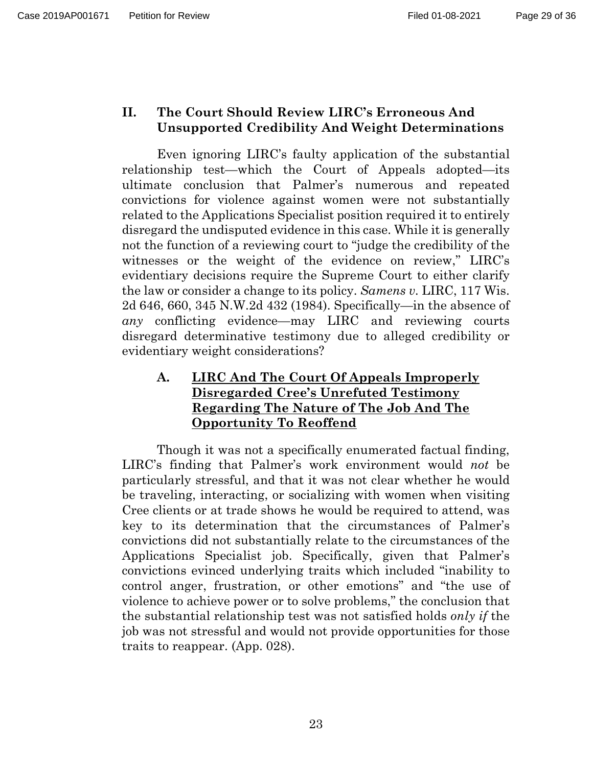## **II. The Court Should Review LIRC's Erroneous And Unsupported Credibility And Weight Determinations**

Even ignoring LIRC's faulty application of the substantial relationship test—which the Court of Appeals adopted—its ultimate conclusion that Palmer's numerous and repeated convictions for violence against women were not substantially related to the Applications Specialist position required it to entirely disregard the undisputed evidence in this case. While it is generally not the function of a reviewing court to "judge the credibility of the witnesses or the weight of the evidence on review," LIRC's evidentiary decisions require the Supreme Court to either clarify the law or consider a change to its policy. *Samens v.* LIRC, 117 Wis. 2d 646, 660, 345 N.W.2d 432 (1984). Specifically—in the absence of *any* conflicting evidence—may LIRC and reviewing courts disregard determinative testimony due to alleged credibility or evidentiary weight considerations?

# **A. LIRC And The Court Of Appeals Improperly Disregarded Cree's Unrefuted Testimony Regarding The Nature of The Job And The Opportunity To Reoffend**

Though it was not a specifically enumerated factual finding, LIRC's finding that Palmer's work environment would *not* be particularly stressful, and that it was not clear whether he would be traveling, interacting, or socializing with women when visiting Cree clients or at trade shows he would be required to attend, was key to its determination that the circumstances of Palmer's convictions did not substantially relate to the circumstances of the Applications Specialist job. Specifically, given that Palmer's convictions evinced underlying traits which included "inability to control anger, frustration, or other emotions" and "the use of violence to achieve power or to solve problems," the conclusion that the substantial relationship test was not satisfied holds *only if* the job was not stressful and would not provide opportunities for those traits to reappear. (App. 028).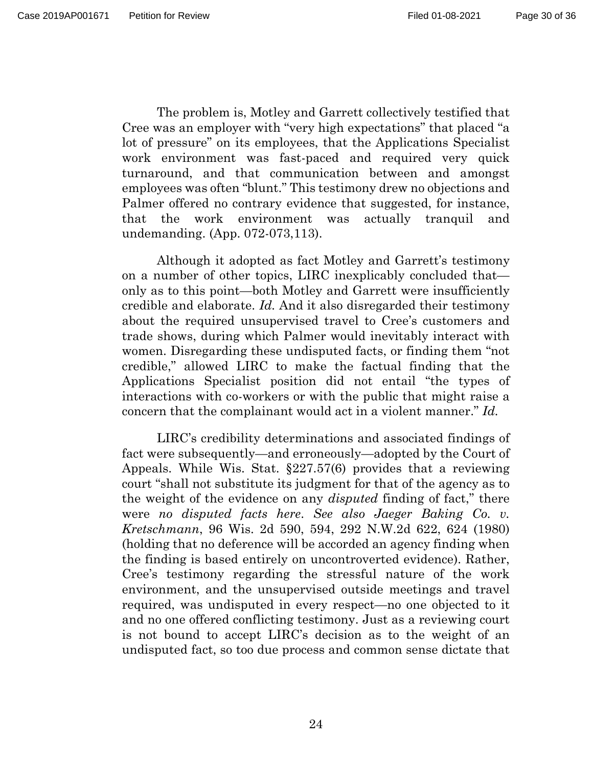The problem is, Motley and Garrett collectively testified that Cree was an employer with "very high expectations" that placed "a lot of pressure" on its employees, that the Applications Specialist work environment was fast-paced and required very quick turnaround, and that communication between and amongst employees was often "blunt." This testimony drew no objections and Palmer offered no contrary evidence that suggested, for instance, that the work environment was actually tranquil and undemanding. (App. 072-073,113).

Although it adopted as fact Motley and Garrett's testimony on a number of other topics, LIRC inexplicably concluded that only as to this point—both Motley and Garrett were insufficiently credible and elaborate. *Id.* And it also disregarded their testimony about the required unsupervised travel to Cree's customers and trade shows, during which Palmer would inevitably interact with women. Disregarding these undisputed facts, or finding them "not credible," allowed LIRC to make the factual finding that the Applications Specialist position did not entail "the types of interactions with co-workers or with the public that might raise a concern that the complainant would act in a violent manner." *Id.*

LIRC's credibility determinations and associated findings of fact were subsequently—and erroneously—adopted by the Court of Appeals. While Wis. Stat. §227.57(6) provides that a reviewing court "shall not substitute its judgment for that of the agency as to the weight of the evidence on any *disputed* finding of fact," there were *no disputed facts here*. *See also Jaeger Baking Co. v. Kretschmann*, 96 Wis. 2d 590, 594, 292 N.W.2d 622, 624 (1980) (holding that no deference will be accorded an agency finding when the finding is based entirely on uncontroverted evidence). Rather, Cree's testimony regarding the stressful nature of the work environment, and the unsupervised outside meetings and travel required, was undisputed in every respect—no one objected to it and no one offered conflicting testimony. Just as a reviewing court is not bound to accept LIRC's decision as to the weight of an undisputed fact, so too due process and common sense dictate that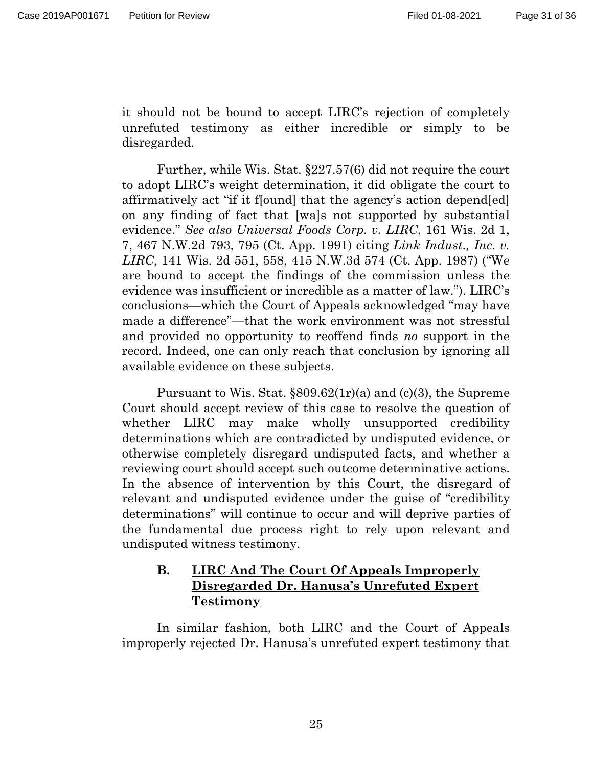it should not be bound to accept LIRC's rejection of completely unrefuted testimony as either incredible or simply to be disregarded.

Further, while Wis. Stat. §227.57(6) did not require the court to adopt LIRC's weight determination, it did obligate the court to affirmatively act "if it f[ound] that the agency's action depend[ed] on any finding of fact that [wa]s not supported by substantial evidence." *See also Universal Foods Corp. v. LIRC*, 161 Wis. 2d 1, 7, 467 N.W.2d 793, 795 (Ct. App. 1991) citing *Link Indust., Inc. v. LIRC*, 141 Wis. 2d 551, 558, 415 N.W.3d 574 (Ct. App. 1987) ("We are bound to accept the findings of the commission unless the evidence was insufficient or incredible as a matter of law."). LIRC's conclusions—which the Court of Appeals acknowledged "may have made a difference"—that the work environment was not stressful and provided no opportunity to reoffend finds *no* support in the record. Indeed, one can only reach that conclusion by ignoring all available evidence on these subjects.

Pursuant to Wis. Stat. §809.62(1r)(a) and (c)(3), the Supreme Court should accept review of this case to resolve the question of whether LIRC may make wholly unsupported credibility determinations which are contradicted by undisputed evidence, or otherwise completely disregard undisputed facts, and whether a reviewing court should accept such outcome determinative actions. In the absence of intervention by this Court, the disregard of relevant and undisputed evidence under the guise of "credibility determinations" will continue to occur and will deprive parties of the fundamental due process right to rely upon relevant and undisputed witness testimony.

## **B. LIRC And The Court Of Appeals Improperly Disregarded Dr. Hanusa's Unrefuted Expert Testimony**

In similar fashion, both LIRC and the Court of Appeals improperly rejected Dr. Hanusa's unrefuted expert testimony that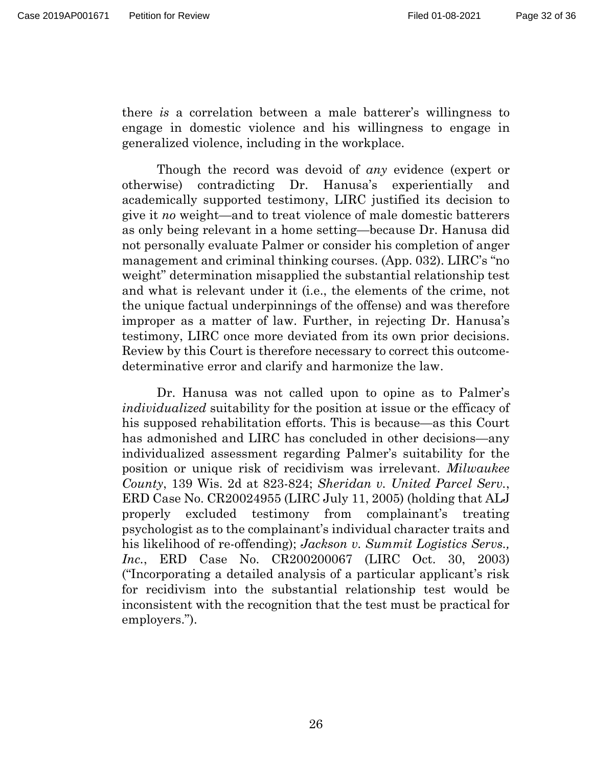there *is* a correlation between a male batterer's willingness to engage in domestic violence and his willingness to engage in generalized violence, including in the workplace.

Though the record was devoid of *any* evidence (expert or otherwise) contradicting Dr. Hanusa's experientially and academically supported testimony, LIRC justified its decision to give it *no* weight—and to treat violence of male domestic batterers as only being relevant in a home setting—because Dr. Hanusa did not personally evaluate Palmer or consider his completion of anger management and criminal thinking courses. (App. 032). LIRC's "no weight" determination misapplied the substantial relationship test and what is relevant under it (i.e., the elements of the crime, not the unique factual underpinnings of the offense) and was therefore improper as a matter of law. Further, in rejecting Dr. Hanusa's testimony, LIRC once more deviated from its own prior decisions. Review by this Court is therefore necessary to correct this outcomedeterminative error and clarify and harmonize the law.

Dr. Hanusa was not called upon to opine as to Palmer's *individualized* suitability for the position at issue or the efficacy of his supposed rehabilitation efforts. This is because—as this Court has admonished and LIRC has concluded in other decisions—any individualized assessment regarding Palmer's suitability for the position or unique risk of recidivism was irrelevant. *Milwaukee County*, 139 Wis. 2d at 823-824; *Sheridan v. United Parcel Serv.*, ERD Case No. CR20024955 (LIRC July 11, 2005) (holding that ALJ properly excluded testimony from complainant's treating psychologist as to the complainant's individual character traits and his likelihood of re-offending); *Jackson v. Summit Logistics Servs., Inc.*, ERD Case No. CR200200067 (LIRC Oct. 30, 2003) ("Incorporating a detailed analysis of a particular applicant's risk for recidivism into the substantial relationship test would be inconsistent with the recognition that the test must be practical for employers.").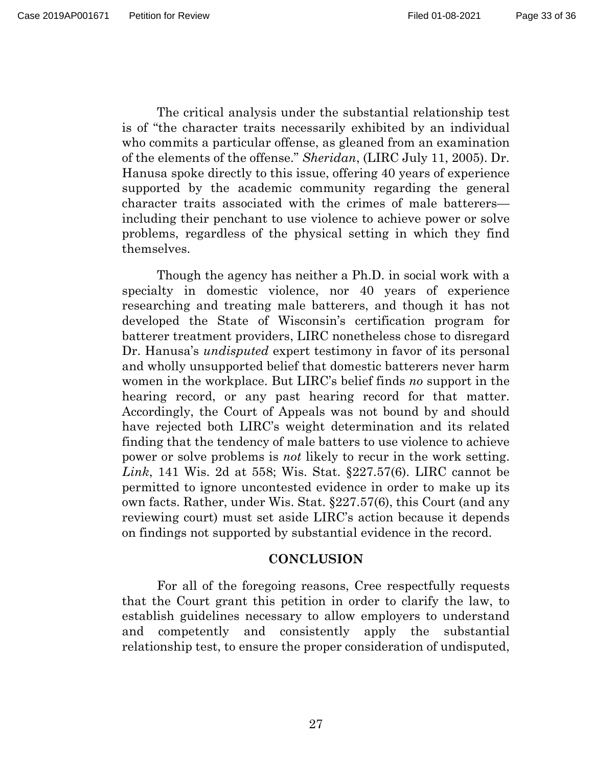The critical analysis under the substantial relationship test is of "the character traits necessarily exhibited by an individual who commits a particular offense, as gleaned from an examination of the elements of the offense." *Sheridan*, (LIRC July 11, 2005). Dr. Hanusa spoke directly to this issue, offering 40 years of experience supported by the academic community regarding the general character traits associated with the crimes of male batterers including their penchant to use violence to achieve power or solve problems, regardless of the physical setting in which they find themselves.

Though the agency has neither a Ph.D. in social work with a specialty in domestic violence, nor 40 years of experience researching and treating male batterers, and though it has not developed the State of Wisconsin's certification program for batterer treatment providers, LIRC nonetheless chose to disregard Dr. Hanusa's *undisputed* expert testimony in favor of its personal and wholly unsupported belief that domestic batterers never harm women in the workplace. But LIRC's belief finds *no* support in the hearing record, or any past hearing record for that matter. Accordingly, the Court of Appeals was not bound by and should have rejected both LIRC's weight determination and its related finding that the tendency of male batters to use violence to achieve power or solve problems is *not* likely to recur in the work setting. *Link*, 141 Wis. 2d at 558; Wis. Stat. §227.57(6). LIRC cannot be permitted to ignore uncontested evidence in order to make up its own facts. Rather, under Wis. Stat. §227.57(6), this Court (and any reviewing court) must set aside LIRC's action because it depends on findings not supported by substantial evidence in the record.

#### **CONCLUSION**

For all of the foregoing reasons, Cree respectfully requests that the Court grant this petition in order to clarify the law, to establish guidelines necessary to allow employers to understand and competently and consistently apply the substantial relationship test, to ensure the proper consideration of undisputed,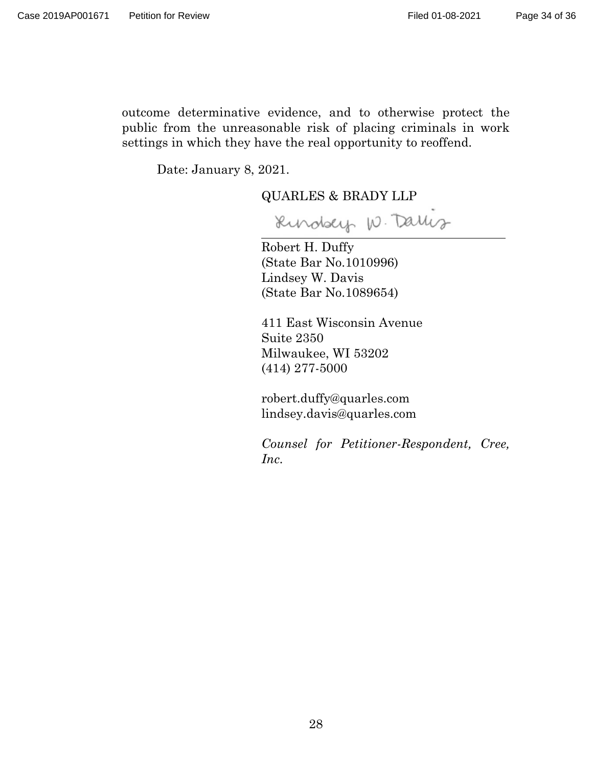Page 34 of 36

outcome determinative evidence, and to otherwise protect the public from the unreasonable risk of placing criminals in work settings in which they have the real opportunity to reoffend.

Date: January 8, 2021.

QUARLES & BRADY LLP

Rindsey W. Darlis

Robert H. Duffy (State Bar No.1010996) Lindsey W. Davis (State Bar No.1089654)

411 East Wisconsin Avenue Suite 2350 Milwaukee, WI 53202 (414) 277-5000

robert.duffy@quarles.com lindsey.davis@quarles.com

*Counsel for Petitioner-Respondent, Cree, Inc.*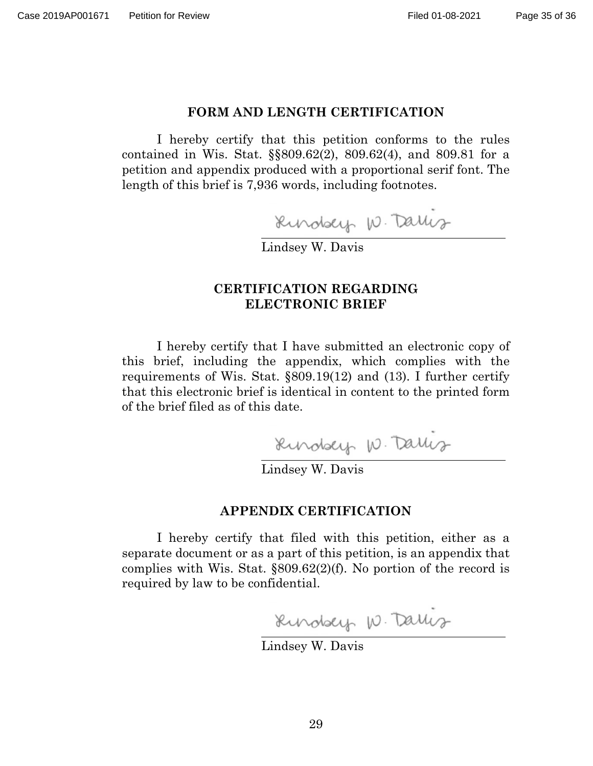#### Page 35 of 36

#### **FORM AND LENGTH CERTIFICATION**

I hereby certify that this petition conforms to the rules contained in Wis. Stat. §§809.62(2), 809.62(4), and 809.81 for a petition and appendix produced with a proportional serif font. The length of this brief is 7,936 words, including footnotes.

Rundsey W. Daris

Lindsey W. Davis

#### **CERTIFICATION REGARDING ELECTRONIC BRIEF**

I hereby certify that I have submitted an electronic copy of this brief, including the appendix, which complies with the requirements of Wis. Stat. §809.19(12) and (13). I further certify that this electronic brief is identical in content to the printed form of the brief filed as of this date.

Rundsey W. Dallis

#### **APPENDIX CERTIFICATION**

I hereby certify that filed with this petition, either as a separate document or as a part of this petition, is an appendix that complies with Wis. Stat. §809.62(2)(f). No portion of the record is required by law to be confidential.

Rindsey W. Darlis

Lindsey W. Davis